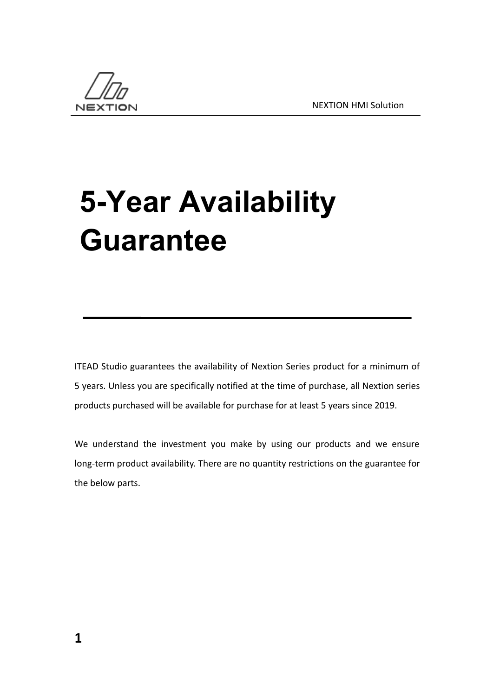

## **5-Year Availability Guarantee**

ITEAD Studio guarantees the availability of Nextion Series product for a minimum of 5 years. Unless you are specifically notified at the time of purchase, all Nextion series products purchased will be available for purchase for at least 5 years since 2019.

We understand the investment you make by using our products and we ensure long-term product availability. There are no quantity restrictions on the guarantee for the below parts.